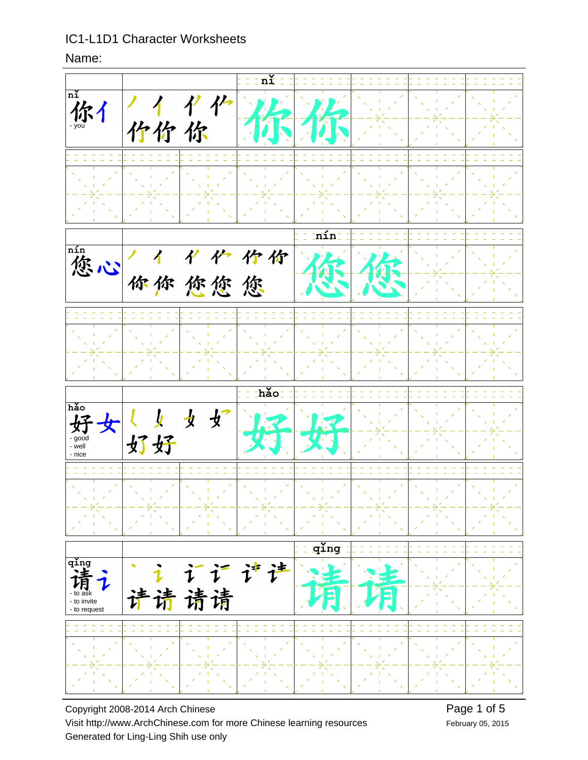Name:



Copyright 2008-2014 Arch Chinese Visit http://www.ArchChinese.com for more Chinese learning resources Generated for Ling-Ling Shih use only

February 05, 2015 Page 1 of 5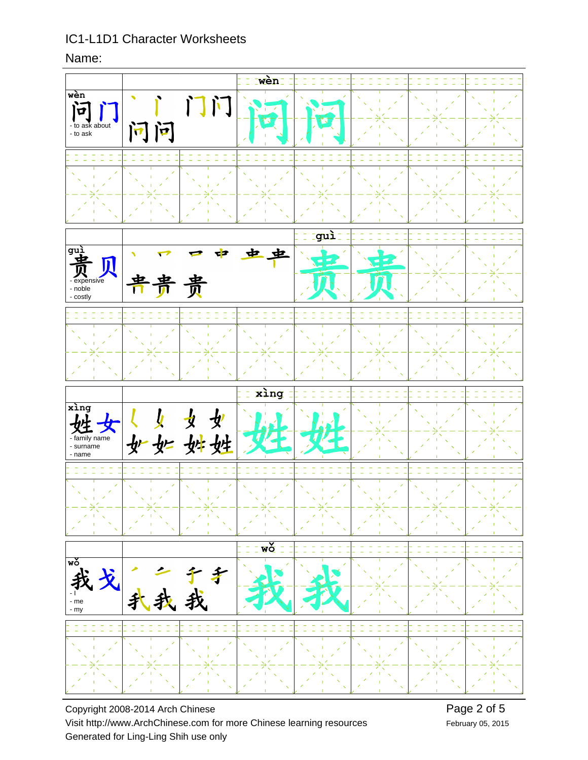Name:



Copyright 2008-2014 Arch Chinese Visit http://www.ArchChinese.com for more Chinese learning resources Generated for Ling-Ling Shih use only

February 05, 2015 Page 2 of 5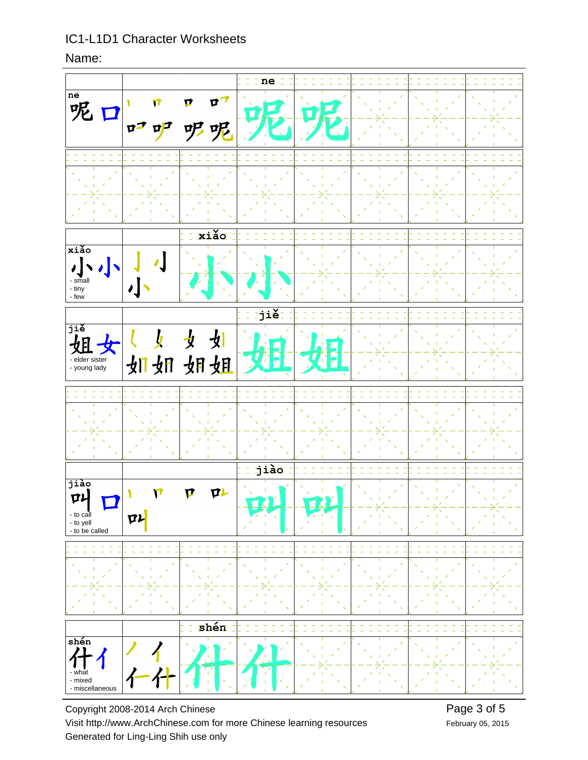Name:



Copyright 2008-2014 Arch Chinese Visit http://www.ArchChinese.com for more Chinese learning resources Generated for Ling-Ling Shih use only

February 05, 2015 Page 3 of 5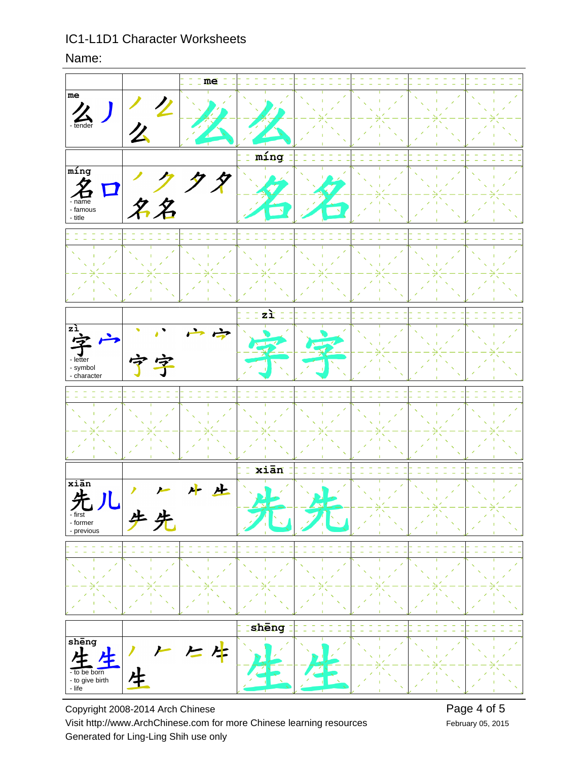#### Name:



Copyright 2008-2014 Arch Chinese Visit http://www.ArchChinese.com for more Chinese learning resources Generated for Ling-Ling Shih use only

February 05, 2015 Page 4 of 5